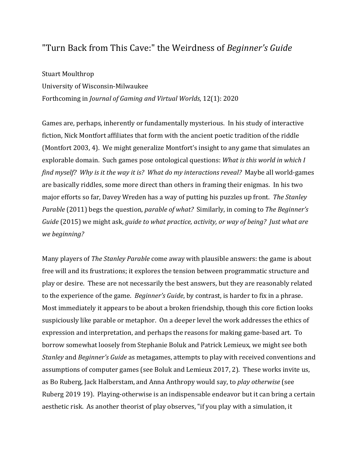## "Turn Back from This Cave:" the Weirdness of *Beginner's Guide*

Stuart Moulthrop University of Wisconsin-Milwaukee Forthcoming in *Journal of Gaming and Virtual Worlds*, 12(1): 2020

Games are, perhaps, inherently or fundamentally mysterious. In his study of interactive fiction, Nick Montfort affiliates that form with the ancient poetic tradition of the riddle (Montfort 2003, 4). We might generalize Montfort's insight to any game that simulates an explorable domain. Such games pose ontological questions: *What is this world in which I find myself? Why is it the way it is? What do my interactions reveal?* Maybe all world-games are basically riddles, some more direct than others in framing their enigmas. In his two major efforts so far, Davey Wreden has a way of putting his puzzles up front. *The Stanley Parable* (2011) begs the question, *parable of what?* Similarly, in coming to *The Beginner's Guide* (2015) we might ask, *guide to what practice, activity, or way of being? Just what are we beginning?*

Many players of *The Stanley Parable* come away with plausible answers: the game is about free will and its frustrations; it explores the tension between programmatic structure and play or desire. These are not necessarily the best answers, but they are reasonably related to the experience of the game. *Beginner's Guide*, by contrast, is harder to fix in a phrase. Most immediately it appears to be about a broken friendship, though this core fiction looks suspiciously like parable or metaphor. On a deeper level the work addresses the ethics of expression and interpretation, and perhaps the reasons for making game-based art. To borrow somewhat loosely from Stephanie Boluk and Patrick Lemieux, we might see both *Stanley* and *Beginner's Guide* as metagames, attempts to play with received conventions and assumptions of computer games (see Boluk and Lemieux 2017, 2). These works invite us, as Bo Ruberg, Jack Halberstam, and Anna Anthropy would say, to *play otherwise* (see Ruberg 2019 19). Playing-otherwise is an indispensable endeavor but it can bring a certain aesthetic risk. As another theorist of play observes, "if you play with a simulation, it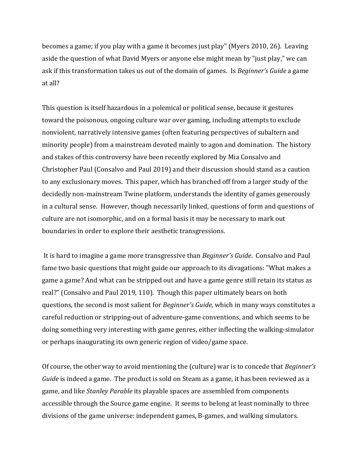becomes a game; if you play with a game it becomes just play" (Myers 2010, 26). Leaving aside the question of what David Myers or anyone else might mean by "just play," we can ask if this transformation takes us out of the domain of games. Is *Beginner's Guide* a game at all?

This question is itself hazardous in a polemical or political sense, because it gestures toward the poisonous, ongoing culture war over gaming, including attempts to exclude nonviolent, narratively intensive games (often featuring perspectives of subaltern and minority people) from a mainstream devoted mainly to agon and domination. The history and stakes of this controversy have been recently explored by Mia Consalvo and Christopher Paul (Consalvo and Paul 2019) and their discussion should stand as a caution to any exclusionary moves. This paper, which has branched off from a larger study of the decidedly non-mainstream Twine platform, understands the identity of games generously in a cultural sense. However, though necessarily linked, questions of form and questions of culture are not isomorphic, and on a formal basis it may be necessary to mark out boundaries in order to explore their aesthetic transgressions.

It is hard to imagine a game more transgressive than *Beginner's Guide*. Consalvo and Paul fame two basic questions that might guide our approach to its divagations: "What makes a game a game? And what can be stripped out and have a game genre still retain its status as real?" (Consalvo and Paul 2019, 110). Though this paper ultimately bears on both questions, the second is most salient for *Beginner's Guide*, which in many ways constitutes a careful reduction or stripping-out of adventure-game conventions, and which seems to be doing something very interesting with game genres, either inflecting the walking-simulator or perhaps inaugurating its own generic region of video/game space.

Of course, the other way to avoid mentioning the (culture) war is to concede that *Beginner's Guide* is indeed a game. The product is sold on Steam as a game, it has been reviewed as a game, and like *Stanley Parable* its playable spaces are assembled from components accessible through the Source game engine. It seems to belong at least nominally to three divisions of the game universe: independent games, B-games, and walking simulators.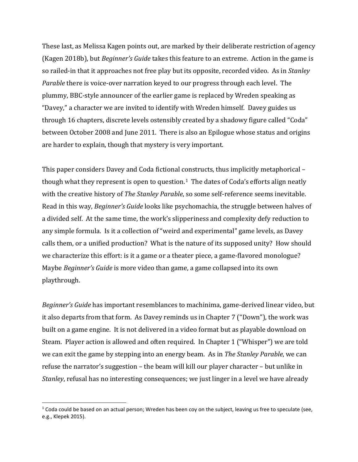These last, as Melissa Kagen points out, are marked by their deliberate restriction of agency (Kagen 2018b), but *Beginner's Guide* takes this feature to an extreme. Action in the game is so railed-in that it approaches not free play but its opposite, recorded video. As in *Stanley Parable* there is voice-over narration keyed to our progress through each level. The plummy, BBC-style announcer of the earlier game is replaced by Wreden speaking as "Davey," a character we are invited to identify with Wreden himself. Davey guides us through 16 chapters, discrete levels ostensibly created by a shadowy figure called "Coda" between October 2008 and June 2011. There is also an Epilogue whose status and origins are harder to explain, though that mystery is very important.

This paper considers Davey and Coda fictional constructs, thus implicitly metaphorical – though what they represent is open to question.<sup>1</sup> The dates of Coda's efforts align neatly with the creative history of *The Stanley Parable*, so some self-reference seems inevitable. Read in this way, *Beginner's Guide* looks like psychomachia, the struggle between halves of a divided self. At the same time, the work's slipperiness and complexity defy reduction to any simple formula. Is it a collection of "weird and experimental" game levels, as Davey calls them, or a unified production? What is the nature of its supposed unity? How should we characterize this effort: is it a game or a theater piece, a game-flavored monologue? Maybe *Beginner's Guide* is more video than game, a game collapsed into its own playthrough.

*Beginner's Guide* has important resemblances to machinima, game-derived linear video, but it also departs from that form. As Davey reminds us in Chapter 7 ("Down"), the work was built on a game engine. It is not delivered in a video format but as playable download on Steam. Player action is allowed and often required. In Chapter 1 ("Whisper") we are told we can exit the game by stepping into an energy beam. As in *The Stanley Parable*, we can refuse the narrator's suggestion – the beam will kill our player character – but unlike in *Stanley*, refusal has no interesting consequences; we just linger in a level we have already

<span id="page-2-0"></span> $1$  Coda could be based on an actual person; Wreden has been coy on the subject, leaving us free to speculate (see, e.g., Klepek 2015).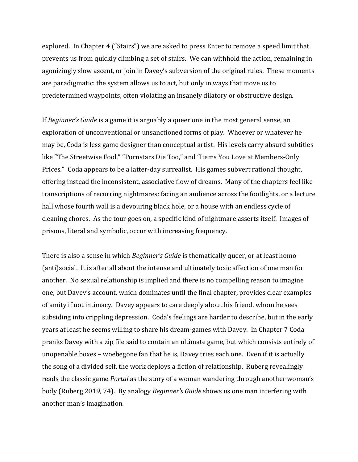explored. In Chapter 4 ("Stairs") we are asked to press Enter to remove a speed limit that prevents us from quickly climbing a set of stairs. We can withhold the action, remaining in agonizingly slow ascent, or join in Davey's subversion of the original rules. These moments are paradigmatic: the system allows us to act, but only in ways that move us to predetermined waypoints, often violating an insanely dilatory or obstructive design.

If *Beginner's Guide* is a game it is arguably a queer one in the most general sense, an exploration of unconventional or unsanctioned forms of play. Whoever or whatever he may be, Coda is less game designer than conceptual artist. His levels carry absurd subtitles like "The Streetwise Fool," "Pornstars Die Too," and "Items You Love at Members-Only Prices." Coda appears to be a latter-day surrealist. His games subvert rational thought, offering instead the inconsistent, associative flow of dreams. Many of the chapters feel like transcriptions of recurring nightmares: facing an audience across the footlights, or a lecture hall whose fourth wall is a devouring black hole, or a house with an endless cycle of cleaning chores. As the tour goes on, a specific kind of nightmare asserts itself. Images of prisons, literal and symbolic, occur with increasing frequency.

There is also a sense in which *Beginner's Guide* is thematically queer, or at least homo- (anti)social. It is after all about the intense and ultimately toxic affection of one man for another. No sexual relationship is implied and there is no compelling reason to imagine one, but Davey's account, which dominates until the final chapter, provides clear examples of amity if not intimacy. Davey appears to care deeply about his friend, whom he sees subsiding into crippling depression. Coda's feelings are harder to describe, but in the early years at least he seems willing to share his dream-games with Davey. In Chapter 7 Coda pranks Davey with a zip file said to contain an ultimate game, but which consists entirely of unopenable boxes – woebegone fan that he is, Davey tries each one. Even if it is actually the song of a divided self, the work deploys a fiction of relationship. Ruberg revealingly reads the classic game *Portal* as the story of a woman wandering through another woman's body (Ruberg 2019, 74). By analogy *Beginner's Guide* shows us one man interfering with another man's imagination.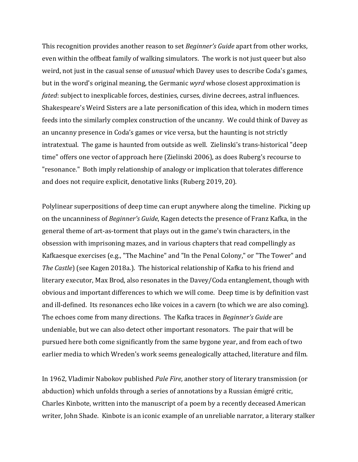This recognition provides another reason to set *Beginner's Guide* apart from other works, even within the offbeat family of walking simulators. The work is not just queer but also weird, not just in the casual sense of *unusual* which Davey uses to describe Coda's games, but in the word's original meaning, the Germanic *wyrd* whose closest approximation is *fated*: subject to inexplicable forces, destinies, curses, divine decrees, astral influences. Shakespeare's Weird Sisters are a late personification of this idea, which in modern times feeds into the similarly complex construction of the uncanny. We could think of Davey as an uncanny presence in Coda's games or vice versa, but the haunting is not strictly intratextual. The game is haunted from outside as well. Zielinski's trans-historical "deep time" offers one vector of approach here (Zielinski 2006), as does Ruberg's recourse to "resonance." Both imply relationship of analogy or implication that tolerates difference and does not require explicit, denotative links (Ruberg 2019, 20).

Polylinear superpositions of deep time can erupt anywhere along the timeline. Picking up on the uncanniness of *Beginner's Guide*, Kagen detects the presence of Franz Kafka, in the general theme of art-as-torment that plays out in the game's twin characters, in the obsession with imprisoning mazes, and in various chapters that read compellingly as Kafkaesque exercises (e.g., "The Machine" and "In the Penal Colony," or "The Tower" and *The Castle*) (see Kagen 2018a.). The historical relationship of Kafka to his friend and literary executor, Max Brod, also resonates in the Davey/Coda entanglement, though with obvious and important differences to which we will come. Deep time is by definition vast and ill-defined. Its resonances echo like voices in a cavern (to which we are also coming). The echoes come from many directions. The Kafka traces in *Beginner's Guide* are undeniable, but we can also detect other important resonators. The pair that will be pursued here both come significantly from the same bygone year, and from each of two earlier media to which Wreden's work seems genealogically attached, literature and film.

In 1962, Vladimir Nabokov published *Pale Fire*, another story of literary transmission (or abduction) which unfolds through a series of annotations by a Russian émigré critic, Charles Kinbote, written into the manuscript of a poem by a recently deceased American writer, John Shade. Kinbote is an iconic example of an unreliable narrator, a literary stalker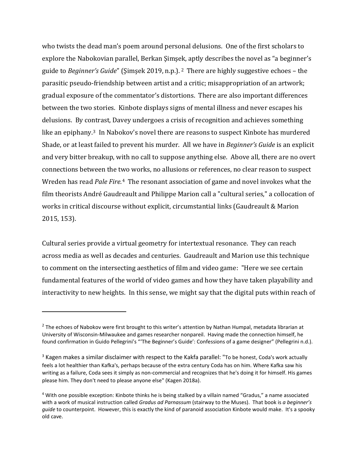who twists the dead man's poem around personal delusions. One of the first scholars to explore the Nabokovian parallel, Berkan Simsek, aptly describes the novel as "a beginner's guide to *Beginner's Guide*" (Şimşek 2019, n.p.). [2](#page-5-0) There are highly suggestive echoes – the parasitic pseudo-friendship between artist and a critic; misappropriation of an artwork; gradual exposure of the commentator's distortions. There are also important differences between the two stories. Kinbote displays signs of mental illness and never escapes his delusions. By contrast, Davey undergoes a crisis of recognition and achieves something like an epiphany. [3](#page-5-1) In Nabokov's novel there are reasons to suspect Kinbote has murdered Shade, or at least failed to prevent his murder. All we have in *Beginner's Guide* is an explicit and very bitter breakup, with no call to suppose anything else. Above all, there are no overt connections between the two works, no allusions or references, no clear reason to suspect Wreden has read *Pale Fire.*[4](#page-5-2) The resonant association of game and novel invokes what the film theorists André Gaudreault and Philippe Marion call a "cultural series," a collocation of works in critical discourse without explicit, circumstantial links (Gaudreault & Marion 2015, 153).

Cultural series provide a virtual geometry for intertextual resonance. They can reach across media as well as decades and centuries. Gaudreault and Marion use this technique to comment on the intersecting aesthetics of film and video game: "Here we see certain fundamental features of the world of video games and how they have taken playability and interactivity to new heights. In this sense, we might say that the digital puts within reach of

l

<span id="page-5-0"></span><sup>&</sup>lt;sup>2</sup> The echoes of Nabokov were first brought to this writer's attention by Nathan Humpal, metadata librarian at University of Wisconsin-Milwaukee and games researcher nonpareil. Having made the connection himself, he found confirmation in Guido Pellegrini's "'The Beginner's Guide': Confessions of a game designer" (Pellegrini n.d.).

<span id="page-5-1"></span><sup>&</sup>lt;sup>3</sup> Kagen makes a similar disclaimer with respect to the Kakfa parallel: "To be honest, Coda's work actually feels a lot healthier than Kafka's, perhaps because of the extra century Coda has on him. Where Kafka saw his writing as a failure, Coda sees it simply as non-commercial and recognizes that he's doing it for himself. His games please him. They don't need to please anyone else" (Kagen 2018a).

<span id="page-5-2"></span><sup>4</sup> With one possible exception: Kinbote thinks he is being stalked by a villain named "Gradus," a name associated with a work of musical instruction called *Gradus ad Parnassum* (stairway to the Muses). That book is *a beginner's guide* to counterpoint. However, this is exactly the kind of paranoid association Kinbote would make. It's a spooky old cave.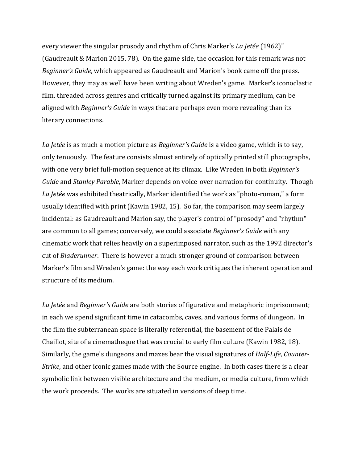every viewer the singular prosody and rhythm of Chris Marker's *La Jetée* (1962)" (Gaudreault & Marion 2015, 78). On the game side, the occasion for this remark was not *Beginner's Guide*, which appeared as Gaudreault and Marion's book came off the press. However, they may as well have been writing about Wreden's game. Marker's iconoclastic film, threaded across genres and critically turned against its primary medium, can be aligned with *Beginner's Guide* in ways that are perhaps even more revealing than its literary connections.

*La Jetée* is as much a motion picture as *Beginner's Guide* is a video game, which is to say, only tenuously. The feature consists almost entirely of optically printed still photographs, with one very brief full-motion sequence at its climax. Like Wreden in both *Beginner's Guide* and *Stanley Parable*, Marker depends on voice-over narration for continuity. Though *La Jetée* was exhibited theatrically, Marker identified the work as "photo-roman," a form usually identified with print (Kawin 1982, 15). So far, the comparison may seem largely incidental: as Gaudreault and Marion say, the player's control of "prosody" and "rhythm" are common to all games; conversely, we could associate *Beginner's Guide* with any cinematic work that relies heavily on a superimposed narrator, such as the 1992 director's cut of *Bladerunner*. There is however a much stronger ground of comparison between Marker's film and Wreden's game: the way each work critiques the inherent operation and structure of its medium.

*La Jetée* and *Beginner's Guide* are both stories of figurative and metaphoric imprisonment; in each we spend significant time in catacombs, caves, and various forms of dungeon. In the film the subterranean space is literally referential, the basement of the Palais de Chaillot, site of a cinematheque that was crucial to early film culture (Kawin 1982, 18). Similarly, the game's dungeons and mazes bear the visual signatures of *Half-Life*, *Counter-Strike*, and other iconic games made with the Source engine. In both cases there is a clear symbolic link between visible architecture and the medium, or media culture, from which the work proceeds. The works are situated in versions of deep time.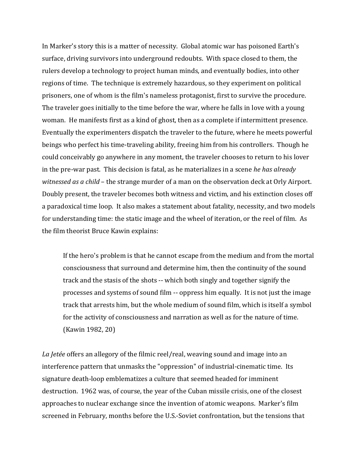In Marker's story this is a matter of necessity. Global atomic war has poisoned Earth's surface, driving survivors into underground redoubts. With space closed to them, the rulers develop a technology to project human minds, and eventually bodies, into other regions of time. The technique is extremely hazardous, so they experiment on political prisoners, one of whom is the film's nameless protagonist, first to survive the procedure. The traveler goes initially to the time before the war, where he falls in love with a young woman. He manifests first as a kind of ghost, then as a complete if intermittent presence. Eventually the experimenters dispatch the traveler to the future, where he meets powerful beings who perfect his time-traveling ability, freeing him from his controllers. Though he could conceivably go anywhere in any moment, the traveler chooses to return to his lover in the pre-war past. This decision is fatal, as he materializes in a scene *he has already witnessed as a child* – the strange murder of a man on the observation deck at Orly Airport. Doubly present, the traveler becomes both witness and victim, and his extinction closes off a paradoxical time loop. It also makes a statement about fatality, necessity, and two models for understanding time: the static image and the wheel of iteration, or the reel of film. As the film theorist Bruce Kawin explains:

If the hero's problem is that he cannot escape from the medium and from the mortal consciousness that surround and determine him, then the continuity of the sound track and the stasis of the shots -- which both singly and together signify the processes and systems of sound film -- oppress him equally. It is not just the image track that arrests him, but the whole medium of sound film, which is itself a symbol for the activity of consciousness and narration as well as for the nature of time. (Kawin 1982, 20)

*La Jetée* offers an allegory of the filmic reel/real, weaving sound and image into an interference pattern that unmasks the "oppression" of industrial-cinematic time. Its signature death-loop emblematizes a culture that seemed headed for imminent destruction. 1962 was, of course, the year of the Cuban missile crisis, one of the closest approaches to nuclear exchange since the invention of atomic weapons. Marker's film screened in February, months before the U.S.-Soviet confrontation, but the tensions that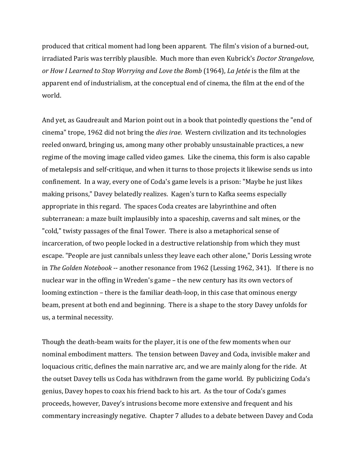produced that critical moment had long been apparent. The film's vision of a burned-out, irradiated Paris was terribly plausible. Much more than even Kubrick's *Doctor Strangelove, or How I Learned to Stop Worrying and Love the Bomb* (1964), *La Jetée* is the film at the apparent end of industrialism, at the conceptual end of cinema, the film at the end of the world.

And yet, as Gaudreault and Marion point out in a book that pointedly questions the "end of cinema" trope, 1962 did not bring the *dies irae*. Western civilization and its technologies reeled onward, bringing us, among many other probably unsustainable practices, a new regime of the moving image called video games. Like the cinema, this form is also capable of metalepsis and self-critique, and when it turns to those projects it likewise sends us into confinement. In a way, every one of Coda's game levels is a prison: "Maybe he just likes making prisons," Davey belatedly realizes. Kagen's turn to Kafka seems especially appropriate in this regard. The spaces Coda creates are labyrinthine and often subterranean: a maze built implausibly into a spaceship, caverns and salt mines, or the "cold," twisty passages of the final Tower. There is also a metaphorical sense of incarceration, of two people locked in a destructive relationship from which they must escape. "People are just cannibals unless they leave each other alone," Doris Lessing wrote in *The Golden Notebook* -- another resonance from 1962 (Lessing 1962, 341). If there is no nuclear war in the offing in Wreden's game – the new century has its own vectors of looming extinction – there is the familiar death-loop, in this case that ominous energy beam, present at both end and beginning. There is a shape to the story Davey unfolds for us, a terminal necessity.

Though the death-beam waits for the player, it is one of the few moments when our nominal embodiment matters. The tension between Davey and Coda, invisible maker and loquacious critic, defines the main narrative arc, and we are mainly along for the ride. At the outset Davey tells us Coda has withdrawn from the game world. By publicizing Coda's genius, Davey hopes to coax his friend back to his art. As the tour of Coda's games proceeds, however, Davey's intrusions become more extensive and frequent and his commentary increasingly negative. Chapter 7 alludes to a debate between Davey and Coda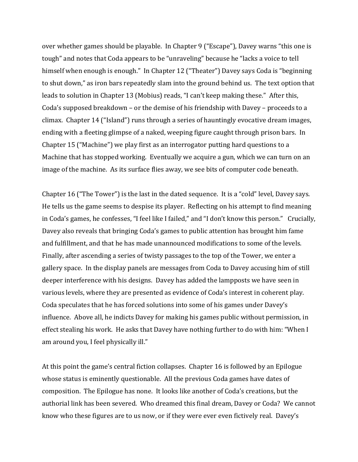over whether games should be playable. In Chapter 9 ("Escape"), Davey warns "this one is tough" and notes that Coda appears to be "unraveling" because he "lacks a voice to tell himself when enough is enough." In Chapter 12 ("Theater") Davey says Coda is "beginning to shut down," as iron bars repeatedly slam into the ground behind us. The text option that leads to solution in Chapter 13 (Mobius) reads, "I can't keep making these." After this, Coda's supposed breakdown – or the demise of his friendship with Davey – proceeds to a climax. Chapter 14 ("Island") runs through a series of hauntingly evocative dream images, ending with a fleeting glimpse of a naked, weeping figure caught through prison bars. In Chapter 15 ("Machine") we play first as an interrogator putting hard questions to a Machine that has stopped working. Eventually we acquire a gun, which we can turn on an image of the machine. As its surface flies away, we see bits of computer code beneath.

Chapter 16 ("The Tower") is the last in the dated sequence. It is a "cold" level, Davey says. He tells us the game seems to despise its player. Reflecting on his attempt to find meaning in Coda's games, he confesses, "I feel like I failed," and "I don't know this person." Crucially, Davey also reveals that bringing Coda's games to public attention has brought him fame and fulfillment, and that he has made unannounced modifications to some of the levels. Finally, after ascending a series of twisty passages to the top of the Tower, we enter a gallery space. In the display panels are messages from Coda to Davey accusing him of still deeper interference with his designs. Davey has added the lampposts we have seen in various levels, where they are presented as evidence of Coda's interest in coherent play. Coda speculates that he has forced solutions into some of his games under Davey's influence. Above all, he indicts Davey for making his games public without permission, in effect stealing his work. He asks that Davey have nothing further to do with him: "When I am around you, I feel physically ill."

At this point the game's central fiction collapses. Chapter 16 is followed by an Epilogue whose status is eminently questionable. All the previous Coda games have dates of composition. The Epilogue has none. It looks like another of Coda's creations, but the authorial link has been severed. Who dreamed this final dream, Davey or Coda? We cannot know who these figures are to us now, or if they were ever even fictively real. Davey's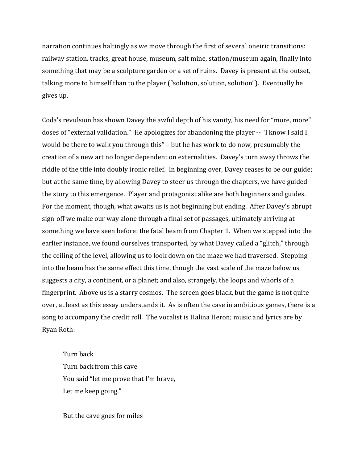narration continues haltingly as we move through the first of several oneiric transitions: railway station, tracks, great house, museum, salt mine, station/museum again, finally into something that may be a sculpture garden or a set of ruins. Davey is present at the outset, talking more to himself than to the player ("solution, solution, solution"). Eventually he gives up.

Coda's revulsion has shown Davey the awful depth of his vanity, his need for "more, more" doses of "external validation." He apologizes for abandoning the player -- "I know I said I would be there to walk you through this" – but he has work to do now, presumably the creation of a new art no longer dependent on externalities. Davey's turn away throws the riddle of the title into doubly ironic relief. In beginning over, Davey ceases to be our guide; but at the same time, by allowing Davey to steer us through the chapters, we have guided the story to this emergence. Player and protagonist alike are both beginners and guides. For the moment, though, what awaits us is not beginning but ending. After Davey's abrupt sign-off we make our way alone through a final set of passages, ultimately arriving at something we have seen before: the fatal beam from Chapter 1. When we stepped into the earlier instance, we found ourselves transported, by what Davey called a "glitch," through the ceiling of the level, allowing us to look down on the maze we had traversed. Stepping into the beam has the same effect this time, though the vast scale of the maze below us suggests a city, a continent, or a planet; and also, strangely, the loops and whorls of a fingerprint. Above us is a starry cosmos. The screen goes black, but the game is not quite over, at least as this essay understands it. As is often the case in ambitious games, there is a song to accompany the credit roll. The vocalist is Halina Heron; music and lyrics are by Ryan Roth:

Turn back Turn back from this cave You said "let me prove that I'm brave, Let me keep going."

But the cave goes for miles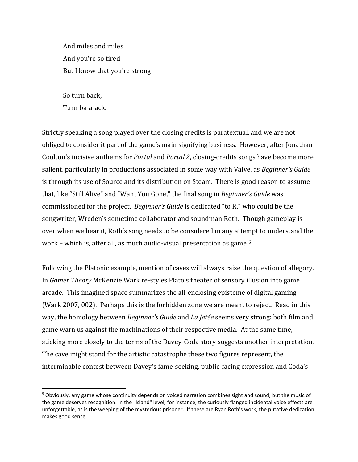And miles and miles And you're so tired But I know that you're strong

So turn back, Turn ba-a-ack.

Strictly speaking a song played over the closing credits is paratextual, and we are not obliged to consider it part of the game's main signifying business. However, after Jonathan Coulton's incisive anthems for *Portal* and *Portal 2*, closing-credits songs have become more salient, particularly in productions associated in some way with Valve, as *Beginner's Guide* is through its use of Source and its distribution on Steam. There is good reason to assume that, like "Still Alive" and "Want You Gone," the final song in *Beginner's Guide* was commissioned for the project. *Beginner's Guide* is dedicated "to R," who could be the songwriter, Wreden's sometime collaborator and soundman Roth. Though gameplay is over when we hear it, Roth's song needs to be considered in any attempt to understand the work – which is, after all, as much audio-visual presentation as game.[5](#page-11-0)

Following the Platonic example, mention of caves will always raise the question of allegory. In *Gamer Theory* McKenzie Wark re-styles Plato's theater of sensory illusion into game arcade. This imagined space summarizes the all-enclosing episteme of digital gaming (Wark 2007, 002). Perhaps this is the forbidden zone we are meant to reject. Read in this way, the homology between *Beginner's Guide* and *La Jetée* seems very strong: both film and game warn us against the machinations of their respective media. At the same time, sticking more closely to the terms of the Davey-Coda story suggests another interpretation. The cave might stand for the artistic catastrophe these two figures represent, the interminable contest between Davey's fame-seeking, public-facing expression and Coda's

<span id="page-11-0"></span> <sup>5</sup> Obviously, any game whose continuity depends on voiced narration combines sight and sound, but the music of the game deserves recognition. In the "Island" level, for instance, the curiously flanged incidental voice effects are unforgettable, as is the weeping of the mysterious prisoner. If these are Ryan Roth's work, the putative dedication makes good sense.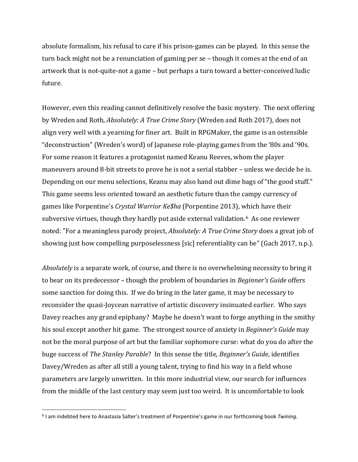absolute formalism, his refusal to care if his prison-games can be played. In this sense the turn back might not be a renunciation of gaming per se – though it comes at the end of an artwork that is not-quite-not a game – but perhaps a turn toward a better-conceived ludic future.

However, even this reading cannot definitively resolve the basic mystery. The next offering by Wreden and Roth, *Absolutely: A True Crime Story* (Wreden and Roth 2017), does not align very well with a yearning for finer art. Built in RPGMaker, the game is an ostensible "deconstruction" (Wreden's word) of Japanese role-playing games from the '80s and '90s. For some reason it features a protagonist named Keanu Reeves, whom the player maneuvers around 8-bit streets to prove he is not a serial stabber – unless we decide he is. Depending on our menu selections, Keanu may also hand out dime bags of "the good stuff." This game seems less oriented toward an aesthetic future than the campy currency of games like Porpentine's *Crystal Warrior Ke\$ha* (Porpentine 2013), which have their subversive virtues, though they hardly put aside external validation.[6](#page-12-0) As one reviewer noted: "For a meaningless parody project, *Absolutely: A True Crime Story* does a great job of showing just how compelling purposelessness [sic] referentiality can be" (Gach 2017, n.p.).

*Absolutely* is a separate work, of course, and there is no overwhelming necessity to bring it to bear on its predecessor – though the problem of boundaries in *Beginner's Guide* offers some sanction for doing this. If we do bring in the later game, it may be necessary to reconsider the quasi-Joycean narrative of artistic discovery insinuated earlier. Who says Davey reaches any grand epiphany? Maybe he doesn't want to forge anything in the smithy his soul except another hit game. The strongest source of anxiety in *Beginner's Guide* may not be the moral purpose of art but the familiar sophomore curse: what do you do after the huge success of *The Stanley Parable*?In this sense the title, *Beginner's Guide*, identifies Davey/Wreden as after all still a young talent, trying to find his way in a field whose parameters are largely unwritten. In this more industrial view, our search for influences from the middle of the last century may seem just too weird. It is uncomfortable to look

<span id="page-12-0"></span> <sup>6</sup> I am indebted here to Anastasia Salter's treatment of Porpentine's game in our forthcoming book *Twining*.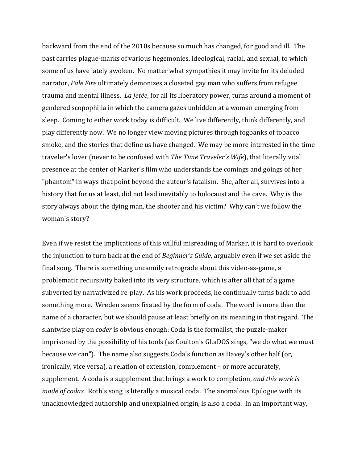backward from the end of the 2010s because so much has changed, for good and ill. The past carries plague-marks of various hegemonies, ideological, racial, and sexual, to which some of us have lately awoken. No matter what sympathies it may invite for its deluded narrator, *Pale Fire* ultimately demonizes a closeted gay man who suffers from refugee trauma and mental illness. *La Jetée*, for all its liberatory power, turns around a moment of gendered scopophilia in which the camera gazes unbidden at a woman emerging from sleep. Coming to either work today is difficult. We live differently, think differently, and play differently now. We no longer view moving pictures through fogbanks of tobacco smoke, and the stories that define us have changed. We may be more interested in the time traveler's lover (never to be confused with *The Time Traveler's Wife*), that literally vital presence at the center of Marker's film who understands the comings and goings of her "phantom" in ways that point beyond the auteur's fatalism. She, after all, survives into a history that for us at least, did not lead inevitably to holocaust and the cave. Why is the story always about the dying man, the shooter and his victim? Why can't we follow the woman's story?

Even if we resist the implications of this willful misreading of Marker, it is hard to overlook the injunction to turn back at the end of *Beginner's Guide*, arguably even if we set aside the final song. There is something uncannily retrograde about this video-as-game, a problematic recursivity baked into its very structure, which is after all that of a game subverted by narrativized re-play. As his work proceeds, he continually turns back to add something more. Wreden seems fixated by the form of coda. The word is more than the name of a character, but we should pause at least briefly on its meaning in that regard. The slantwise play on *coder* is obvious enough: Coda is the formalist, the puzzle-maker imprisoned by the possibility of his tools (as Coulton's GLaDOS sings, "we do what we must because we can"). The name also suggests Coda's function as Davey's other half (or, ironically, vice versa), a relation of extension, complement – or more accurately, supplement. A coda is a supplement that brings a work to completion, *and this work is made of codas.* Roth's song is literally a musical coda. The anomalous Epilogue with its unacknowledged authorship and unexplained origin, is also a coda. In an important way,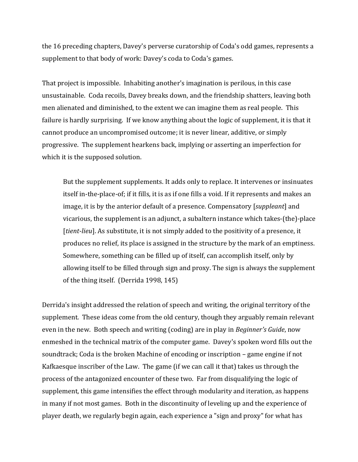the 16 preceding chapters, Davey's perverse curatorship of Coda's odd games, represents a supplement to that body of work: Davey's coda to Coda's games.

That project is impossible. Inhabiting another's imagination is perilous, in this case unsustainable. Coda recoils, Davey breaks down, and the friendship shatters, leaving both men alienated and diminished, to the extent we can imagine them as real people. This failure is hardly surprising. If we know anything about the logic of supplement, it is that it cannot produce an uncompromised outcome; it is never linear, additive, or simply progressive. The supplement hearkens back, implying or asserting an imperfection for which it is the supposed solution.

But the supplement supplements. It adds only to replace. It intervenes or insinuates itself in-the-place-of; if it fills, it is as if one fills a void. If it represents and makes an image, it is by the anterior default of a presence. Compensatory [*suppleant*] and vicarious, the supplement is an adjunct, a subaltern instance which takes-(the)-place [*tient-lieu*]. As substitute, it is not simply added to the positivity of a presence, it produces no relief, its place is assigned in the structure by the mark of an emptiness. Somewhere, something can be filled up of itself, can accomplish itself, only by allowing itself to be filled through sign and proxy. The sign is always the supplement of the thing itself. (Derrida 1998, 145)

Derrida's insight addressed the relation of speech and writing, the original territory of the supplement. These ideas come from the old century, though they arguably remain relevant even in the new. Both speech and writing (coding) are in play in *Beginner's Guide*, now enmeshed in the technical matrix of the computer game. Davey's spoken word fills out the soundtrack; Coda is the broken Machine of encoding or inscription – game engine if not Kafkaesque inscriber of the Law. The game (if we can call it that) takes us through the process of the antagonized encounter of these two. Far from disqualifying the logic of supplement, this game intensifies the effect through modularity and iteration, as happens in many if not most games. Both in the discontinuity of leveling up and the experience of player death, we regularly begin again, each experience a "sign and proxy" for what has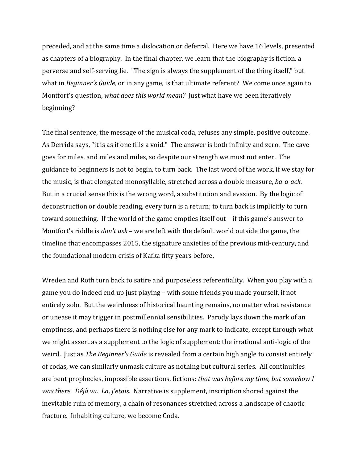preceded, and at the same time a dislocation or deferral. Here we have 16 levels, presented as chapters of a biography. In the final chapter, we learn that the biography is fiction, a perverse and self-serving lie. "The sign is always the supplement of the thing itself," but what in *Beginner's Guide*, or in any game, is that ultimate referent? We come once again to Montfort's question, *what does this world mean?* Just what have we been iteratively beginning?

The final sentence, the message of the musical coda, refuses any simple, positive outcome. As Derrida says, "it is as if one fills a void." The answer is both infinity and zero. The cave goes for miles, and miles and miles, so despite our strength we must not enter. The guidance to beginners is not to begin, to turn back. The last word of the work, if we stay for the music, is that elongated monosyllable, stretched across a double measure, *ba-a-ack.* But in a crucial sense this is the wrong word, a substitution and evasion. By the logic of deconstruction or double reading, every turn is a return; to turn back is implicitly to turn toward something. If the world of the game empties itself out – if this game's answer to Montfort's riddle is *don't ask* – we are left with the default world outside the game, the timeline that encompasses 2015, the signature anxieties of the previous mid-century, and the foundational modern crisis of Kafka fifty years before.

Wreden and Roth turn back to satire and purposeless referentiality. When you play with a game you do indeed end up just playing – with some friends you made yourself, if not entirely solo. But the weirdness of historical haunting remains, no matter what resistance or unease it may trigger in postmillennial sensibilities. Parody lays down the mark of an emptiness, and perhaps there is nothing else for any mark to indicate, except through what we might assert as a supplement to the logic of supplement: the irrational anti-logic of the weird. Just as *The Beginner's Guide* is revealed from a certain high angle to consist entirely of codas, we can similarly unmask culture as nothing but cultural series. All continuities are bent prophecies, impossible assertions, fictions: *that was before my time, but somehow I was there. Déjà vu. La, j'etais*. Narrative is supplement, inscription shored against the inevitable ruin of memory, a chain of resonances stretched across a landscape of chaotic fracture. Inhabiting culture, we become Coda.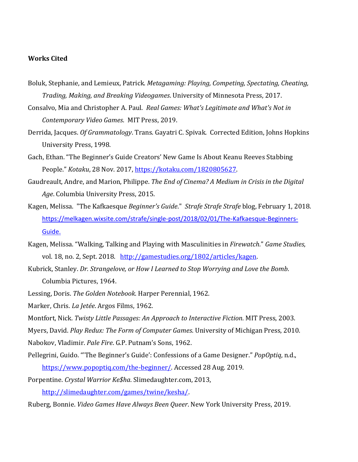## **Works Cited**

- Boluk, Stephanie, and Lemieux, Patrick. *Metagaming: Playing, Competing, Spectating, Cheating, Trading, Making, and Breaking Videogames*. University of Minnesota Press, 2017.
- Consalvo, Mia and Christopher A. Paul. *Real Games: What's Legitimate and What's Not in Contemporary Video Games*. MIT Press, 2019.
- Derrida, Jacques. *Of Grammatology*. Trans. Gayatri C. Spivak. Corrected Edition, Johns Hopkins University Press, 1998.
- Gach, Ethan. "The Beginner's Guide Creators' New Game Is About Keanu Reeves Stabbing People." *Kotaku*, 28 Nov. 2017, [https://kotaku.com/1820805627.](https://kotaku.com/1820805627)
- Gaudreault, Andre, and Marion, Philippe. *The End of Cinema? A Medium in Crisis in the Digital Age*. Columbia University Press, 2015.
- Kagen, Melissa. "The Kafkaesque *Beginner's Guide*." *Strafe Strafe Strafe* blog, February 1, 2018. [https://melkagen.wixsite.com/strafe/single-post/2018/02/01/The-Kafkaesque-Beginners-](https://melkagen.wixsite.com/strafe/single-post/2018/02/01/The-Kafkaesque-Beginners-Guide)[Guide.](https://melkagen.wixsite.com/strafe/single-post/2018/02/01/The-Kafkaesque-Beginners-Guide)
- Kagen, Melissa. "Walking, Talking and Playing with Masculinities in *Firewatch*." *Game Studies*, vol. 18, no. 2, Sept. 2018. [http://gamestudies.org/1802/articles/kagen.](http://gamestudies.org/1802/articles/kagen)
- Kubrick, Stanley. *Dr. Strangelove, or How I Learned to Stop Worrying and Love the Bomb*. Columbia Pictures, 1964.
- Lessing, Doris. *The Golden Notebook*. Harper Perennial, 1962.

Marker, Chris. *La Jetée*. Argos Films, 1962.

- Montfort, Nick. *Twisty Little Passages: An Approach to Interactive Fiction*. MIT Press, 2003.
- Myers, David. *Play Redux: The Form of Computer Games*. University of Michigan Press, 2010.

Nabokov, Vladimir. *Pale Fire*. G.P. Putnam's Sons, 1962.

Pellegrini, Guido. "'The Beginner's Guide': Confessions of a Game Designer." *PopOptiq*, n.d., [https://www.popoptiq.com/the-beginner/.](https://www.popoptiq.com/the-beginner/) Accessed 28 Aug. 2019.

Porpentine. *Crystal Warrior Ke\$ha*. Slimedaughter.com, 2013,

[http://slimedaughter.com/games/twine/kesha/.](http://slimedaughter.com/games/twine/kesha/)

Ruberg, Bonnie. *Video Games Have Always Been Queer*. New York University Press, 2019.